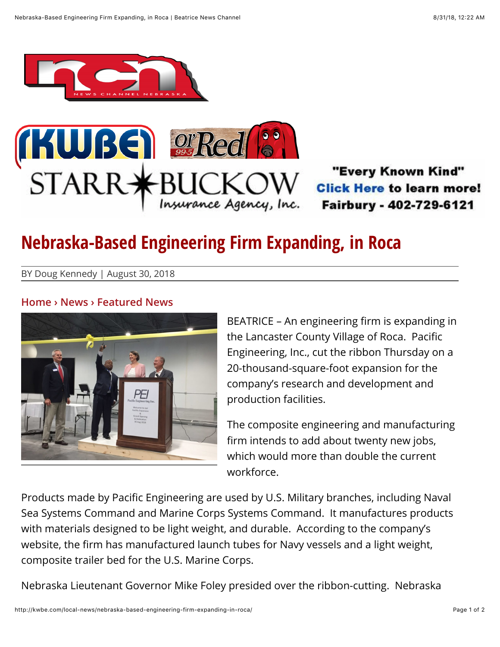



"Every Known Kind" **Click Here to learn more!** Fairbury - 402-729-6121

## **Nebraska-Based Engineering Firm Expanding, in Roca**

BY Doug Kennedy | August 30, 2018

## **[Home](http://kwbe.com/) › [News](http://kwbe.com/news/) › [Featured News](http://kwbe.com/news/?news=featured-news)**



BEATRICE – An engineering firm is expanding in the Lancaster County Village of Roca. Pacific Engineering, Inc., cut the ribbon Thursday on a 20-thousand-square-foot expansion for the company's research and development and production facilities.

The composite engineering and manufacturing firm intends to add about twenty new jobs, which would more than double the current workforce.

Products made by Pacific Engineering are used by U.S. Military branches, including Naval Sea Systems Command and Marine Corps Systems Command. It manufactures products with materials designed to be light weight, and durable. According to the company's website, the firm has manufactured launch tubes for Navy vessels and a light weight, composite trailer bed for the U.S. Marine Corps.

Nebraska Lieutenant Governor Mike Foley presided over the ribbon-cutting. Nebraska